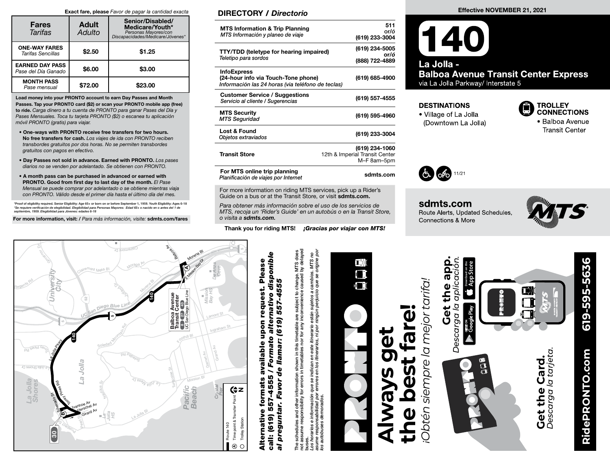#### Exact fare, please *Favor de pagar la cantidad exacta*

| <b>Fares</b><br>Tarifas                       | <b>Adult</b><br>Adulto | Senior/Disabled/<br>Medicare/Youth*<br>Personas Mayores/con<br>Discapacidades/Medicare/Jóvenes* |
|-----------------------------------------------|------------------------|-------------------------------------------------------------------------------------------------|
| <b>ONE-WAY FARES</b><br>Tarifas Sencillas     | \$2.50                 | \$1.25                                                                                          |
| <b>EARNED DAY PASS</b><br>Pase del Día Ganado | \$6.00                 | \$3.00                                                                                          |
| <b>MONTH PASS</b><br>Pase mensual             | \$72.00                | \$23.00                                                                                         |

Load money into your PRONTO account to earn Day Passes and Month Passes. Tap your PRONTO card (\$2) or scan your PRONTO mobile app (free) to ride. *Carga dinero a tu cuenta de PRONTO para ganar Pases del Día y Pases Mensuales. Toca tu tarjeta PRONTO (\$2) o escanea tu aplicación móvil PRONTO (gratis) para viajar.*

- One-ways with PRONTO receive free transfers for two hours. No free transfers for cash. *Los viajes de ida con PRONTO reciben transbordes gratuitos por dos horas. No se permiten transbordes gratuitos con pagos en efectivo.*
- Day Passes not sold in advance. Earned with PRONTO. *Los pases diarios no se venden por adelantado. Se obtienen con PRONTO.*
- A month pass can be purchased in advanced or earned with PRONTO. Good from first day to last day of the month. *El Pase Mensual se puede comprar por adelantado o se obtiene mientras viaja con PRONTO. Válido desde el primer día hasta el último día del mes.*

\*Proof of eligibility required. Senior Eligibility: Age 65+ or born on or before September 1, 1959. Youth Eligibility: Ages 6-18<br>\*Se requiere verificación de elegibilidad. Elegibilidad para Personas Mayores: Edad 65+ o nac er 1,<br>65+<br>VİSI

For more information, visit: / *Para más información, visite:* sdmts.com/fares C<sup>l</sup>air<sup>e</sup>mo<sup>n</sup><sup>t</sup> <sup>D</sup><sup>r</sup>

### DIRECTORY / *Directorio*

| <b>MTS Information &amp; Trip Planning</b><br>MTS Información y planeo de viaje                                | 511<br>or/ó<br>(619) 233-3004                                   |
|----------------------------------------------------------------------------------------------------------------|-----------------------------------------------------------------|
| <b>TTY/TDD</b> (teletype for hearing impaired)<br>Teletipo para sordos                                         | (619) 234-5005<br>or/ó<br>(888) 722-4889                        |
| <b>InfoExpress</b><br>(24-hour info via Touch-Tone phone)<br>Información las 24 horas (via teléfono de teclas) | (619) 685-4900                                                  |
| <b>Customer Service / Suggestions</b><br>Servicio al cliente / Sugerencias                                     | (619) 557-4555                                                  |
| <b>MTS Security</b><br><b>MTS Seguridad</b>                                                                    | (619) 595-4960                                                  |
| <b>Lost &amp; Found</b><br>Objetos extraviados                                                                 | (619) 233-3004                                                  |
| <b>Transit Store</b>                                                                                           | (619) 234-1060<br>12th & Imperial Transit Center<br>M-F 8am-5pm |
| For MTS online trip planning<br>Planificación de viajes por Internet                                           | sdmts.com                                                       |

For more information on riding MTS services, pick up a Rider's Guide on a bus or at the Transit Store, or visit sdmts.com.

*Para obtener más información sobre el uso de los servicios de MTS, recoja un 'Rider's Guide' en un autobús o en la Transit Store, o visita a sdmts.com.*

Thank you for riding MTS! *¡Gracias por viajar con MTS!*

### Effective NOVEMBER 21, 2021

### $(140)$ La Jolla -**Balboa Avenue Transit Center Express** via La Jolla Parkway/ Interstate 5

### **DESTINATIONS**

• Village of La Jolla (Downtown La Jolla)



· Balboa Avenue **Transit Center** 



sdmts.com Route Alerts, Updated Schedules, Connections & More





# call: (619) 557-4555 / *Formato alternativo disponible*  e formats available upon request. Please<br>557-4555 / Formato alternativo disponible Alternative formats available upon request. Please de llamar: (619) 557-4555 *al preguntar. Favor de llamar: (619) 557-4555* Alternative formats preguntar. Favor call: (619)  $\overline{a}$

s schedules and other information shown in this timetable are subject to change. MTS does<br>assume responsibility for errors in timetables nor for any inconvenience caused by delayed<br>shorarios e información que se indican en not assume responsibility for errors in timetables nor for any inconvenience caused by delayed The schedules and other information shown in this timetable are subject to change. MTS does یّة<br>E

*Los horarios e información que se indican en este itinerario están sujetos a cambios. MTS no asume responsabilidad por errores en los itinerarios, ni por ningún perjuicio que se origine por los autobuses demorados.*



## $\bf \bar d$ **the best fare!** far **Always get**   $\mathbf{\bar{d}}$ pest **5<br>万** Ø

Obtén siempre la mejor tarifa. *én siempre la mejor tarifa!*